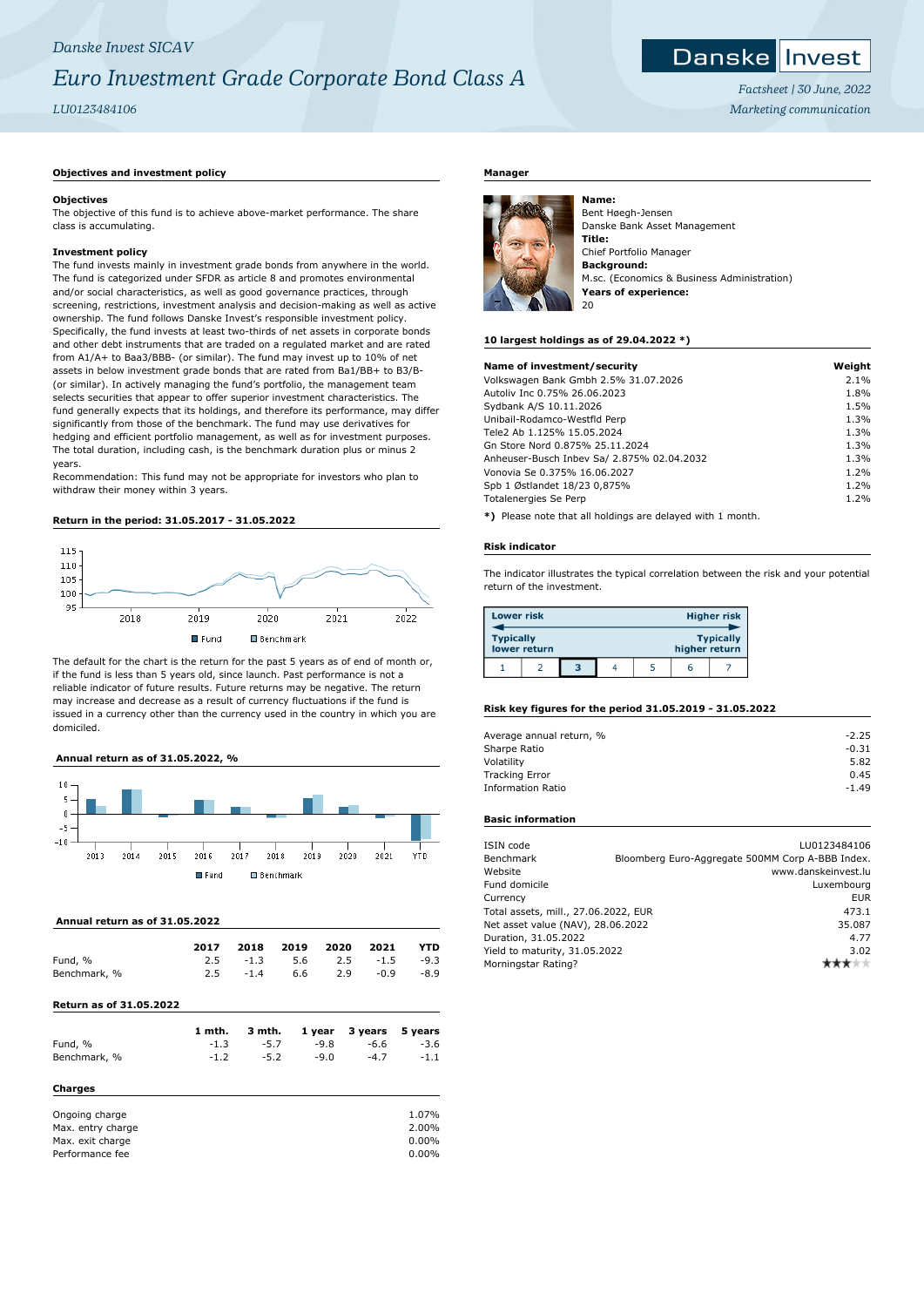# *Danske Invest SICAV Euro Investment Grade Corporate Bond Class A*

## *LU0123484106*

## **Objectives and investment policy**

#### **Objectives**

The objective of this fund is to achieve above-market performance. The share class is accumulating.

### **Investment policy**

The fund invests mainly in investment grade bonds from anywhere in the world. The fund is categorized under SFDR as article 8 and promotes environmental and/or social characteristics, as well as good governance practices, through screening, restrictions, investment analysis and decision-making as well as active ownership. The fund follows Danske Invest's responsible investment policy. Specifically, the fund invests at least two-thirds of net assets in corporate bonds and other debt instruments that are traded on a regulated market and are rated from A1/A+ to Baa3/BBB- (or similar). The fund may invest up to 10% of net assets in below investment grade bonds that are rated from Ba1/BB+ to B3/B- (or similar). In actively managing the fund's portfolio, the management team selects securities that appear to offer superior investment characteristics. The fund generally expects that its holdings, and therefore its performance, may differ significantly from those of the benchmark. The fund may use derivatives for hedging and efficient portfolio management, as well as for investment purposes. The total duration, including cash, is the benchmark duration plus or minus 2 years.

Recommendation: This fund may not be appropriate for investors who plan to withdraw their money within 3 years.

### **Return in the period: 31.05.2017 - 31.05.2022**



The default for the chart is the return for the past 5 years as of end of month or, if the fund is less than 5 years old, since launch. Past performance is not a reliable indicator of future results. Future returns may be negative. The return may increase and decrease as a result of currency fluctuations if the fund is issued in a currency other than the currency used in the country in which you are domiciled.

## **Annual return as of 31.05.2022, %**



### **Annual return as of 31.05.2022**

|              | 2017 |        | 2018 2019 2020 |     | 2021                                | <b>YTD</b> |
|--------------|------|--------|----------------|-----|-------------------------------------|------------|
| Fund, %      |      |        |                |     | $2.5 \t -1.3 \t 5.6 \t 2.5 \t -1.5$ | $-9.3$     |
| Benchmark, % | 2.5  | $-1.4$ | 6.6            | 2.9 | $-0.9$                              | $-8.9$     |
|              |      |        |                |     |                                     |            |

## **Return as of 31.05.2022**

|                   | 1 mth. | 3 mth. | 1 year | 3 years | 5 years  |
|-------------------|--------|--------|--------|---------|----------|
| Fund, %           | $-1.3$ | $-5.7$ | $-9.8$ | $-6.6$  | $-3.6$   |
| Benchmark, %      | $-1.2$ | $-5.2$ | $-9.0$ | $-4.7$  | $-1.1$   |
| Charges           |        |        |        |         |          |
| Ongoing charge    |        |        |        |         | 1.07%    |
| Max. entry charge |        |        |        |         | 2.00%    |
| Max. exit charge  |        |        |        |         | $0.00\%$ |
| Performance fee   |        |        |        |         | $0.00\%$ |

## **Manager**



**Name:** Bent Høegh-Jensen Danske Bank Asset Management **Title:** Chief Portfolio Manager **Background:** M.sc. (Economics & Business Administration) **Years of experience:** 20

#### **10 largest holdings as of 29.04.2022 \*)**

| Name of investment/security                                    | Weight |
|----------------------------------------------------------------|--------|
| Volkswagen Bank Gmbh 2.5% 31.07.2026                           | 2.1%   |
| Autoliv Inc 0.75% 26.06.2023                                   | 1.8%   |
| Sydbank A/S 10.11.2026                                         | 1.5%   |
| Unibail-Rodamco-Westfld Perp                                   | 1.3%   |
| Tele2 Ab 1.125% 15.05.2024                                     | 1.3%   |
| Gn Store Nord 0.875% 25.11.2024                                | 1.3%   |
| Anheuser-Busch Inbev Sa/ 2.875% 02.04.2032                     | 1.3%   |
| Vonovia Se 0.375% 16.06.2027                                   | 1.2%   |
| Spb 1 Østlandet 18/23 0,875%                                   | 1.2%   |
| Totalenergies Se Perp                                          | 1.2%   |
| ◆\ Discord code dist off betakene and alternationals → codebut |        |

**\*)** Please note that all holdings are delayed with 1 month.

#### **Risk indicator**

The indicator illustrates the typical correlation between the risk and your potential return of the investment.

| <b>Lower risk</b> |              |   |  |               | <b>Higher risk</b> |
|-------------------|--------------|---|--|---------------|--------------------|
| <b>Typically</b>  | lower return |   |  | higher return | <b>Typically</b>   |
|                   |              | з |  |               |                    |

### **Risk key figures for the period 31.05.2019 - 31.05.2022**

| $-2.25$ |
|---------|
| $-0.31$ |
| 5.82    |
| 0.45    |
| $-1.49$ |
|         |

## **Basic information**

| ISIN code                            | LU0123484106                                     |
|--------------------------------------|--------------------------------------------------|
| Benchmark                            | Bloomberg Euro-Aggregate 500MM Corp A-BBB Index. |
| Website                              | www.danskeinvest.lu                              |
| Fund domicile                        | Luxembourg                                       |
| Currency                             | <b>EUR</b>                                       |
| Total assets, mill., 27.06.2022, EUR | 473.1                                            |
| Net asset value (NAV), 28.06.2022    | 35.087                                           |
| Duration, 31.05.2022                 | 4.77                                             |
| Yield to maturity, 31.05.2022        | 3.02                                             |
| Morningstar Rating?                  |                                                  |



*Factsheet | 30 June, 2022 Marketing communication*